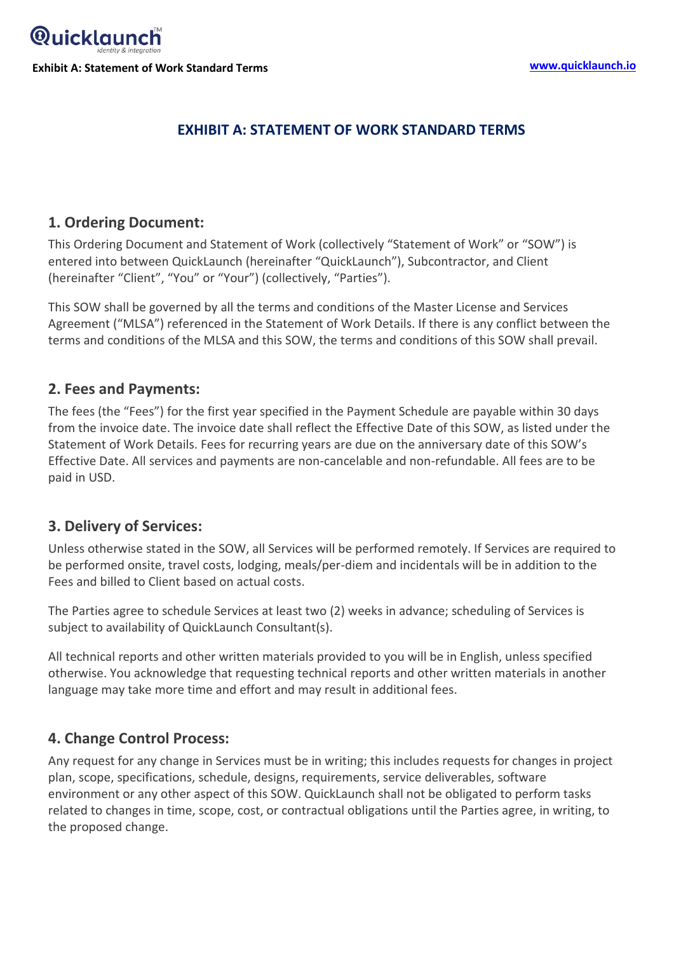

# **EXHIBIT A: STATEMENT OF WORK STANDARD TERMS**

#### **1. Ordering Document:**

This Ordering Document and Statement of Work (collectively "Statement of Work" or "SOW") is entered into between QuickLaunch (hereinafter "QuickLaunch"), Subcontractor, and Client (hereinafter "Client", "You" or "Your") (collectively, "Parties").

This SOW shall be governed by all the terms and conditions of the Master License and Services Agreement ("MLSA") referenced in the Statement of Work Details. If there is any conflict between the terms and conditions of the MLSA and this SOW, the terms and conditions of this SOW shall prevail.

### **2. Fees and Payments:**

The fees (the "Fees") for the first year specified in the Payment Schedule are payable within 30 days from the invoice date. The invoice date shall reflect the Effective Date of this SOW, as listed under the Statement of Work Details. Fees for recurring years are due on the anniversary date of this SOW's Effective Date. All services and payments are non-cancelable and non-refundable. All fees are to be paid in USD.

#### **3. Delivery of Services:**

Unless otherwise stated in the SOW, all Services will be performed remotely. If Services are required to be performed onsite, travel costs, lodging, meals/per-diem and incidentals will be in addition to the Fees and billed to Client based on actual costs.

The Parties agree to schedule Services at least two (2) weeks in advance; scheduling of Services is subject to availability of QuickLaunch Consultant(s).

All technical reports and other written materials provided to you will be in English, unless specified otherwise. You acknowledge that requesting technical reports and other written materials in another language may take more time and effort and may result in additional fees.

# **4. Change Control Process:**

Any request for any change in Services must be in writing; this includes requests for changes in project plan, scope, specifications, schedule, designs, requirements, service deliverables, software environment or any other aspect of this SOW. QuickLaunch shall not be obligated to perform tasks related to changes in time, scope, cost, or contractual obligations until the Parties agree, in writing, to the proposed change.